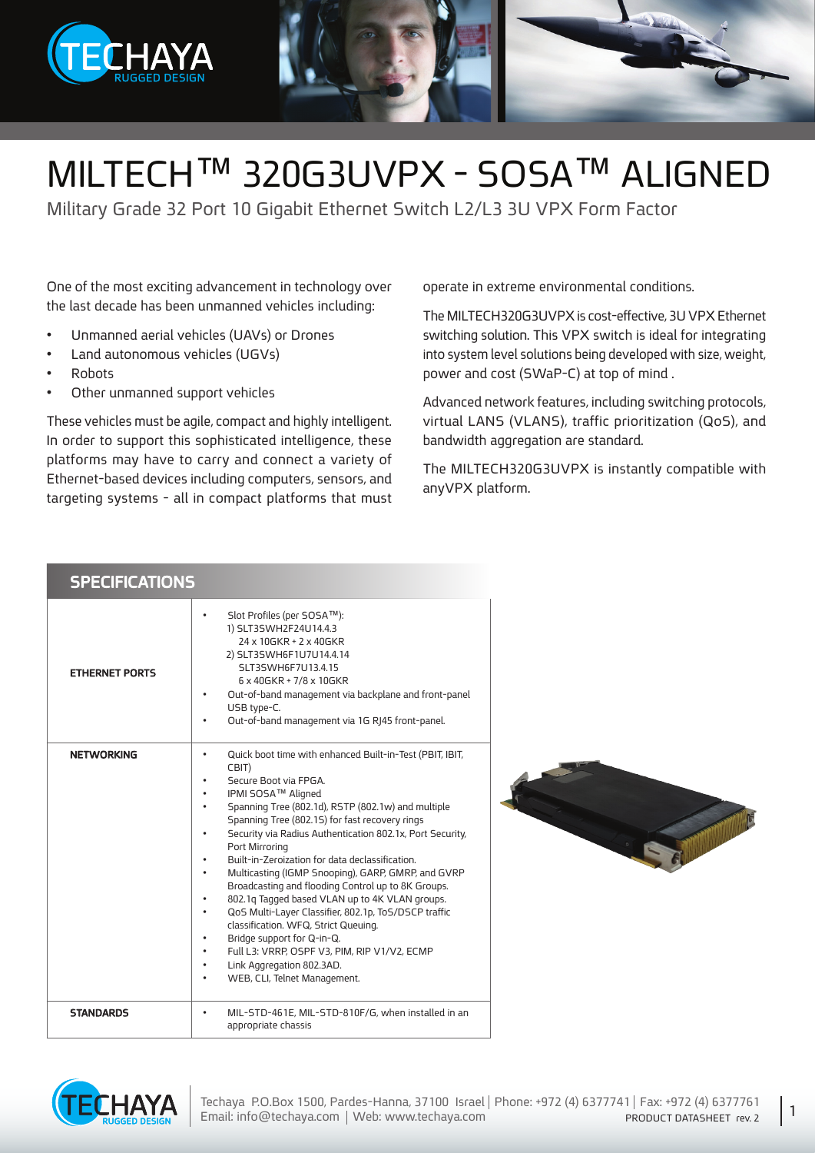

## MILTECH™ 320G3UVPX - SOSA™ ALIGNED

Military Grade 32 Port 10 Gigabit Ethernet Switch L2/L3 3U VPX Form Factor

One of the most exciting advancement in technology over the last decade has been unmanned vehicles including:

- Unmanned aerial vehicles (UAVs) or Drones
- Land autonomous vehicles (UGVs)
- Robots•
- Other unmanned support vehicles

**SPECIFICATIONS** 

These vehicles must be agile, compact and highly intelligent. In order to support this sophisticated intelligence, these platforms may have to carry and connect a variety of Ethernet-based devices including computers, sensors, and targeting systems - all in compact platforms that must operate in extreme environmental conditions.

The MILTECH320G3UVPX is cost-effective, 3U VPX Ethernet switching solution. This VPX switch is ideal for integrating into system level solutions being developed with size, weight, power and cost (SWaP-C) at top of mind.

Advanced network features, including switching protocols, virtual LANS (VLANS), traffic prioritization (QoS), and bandwidth aggregation are standard.

The MILTECH320G3UVPX is instantly compatible with anvVPX platform.

| <b>ETHERNET PORTS</b> | Slot Profiles (per SOSA™):<br>$\bullet$<br>1) SLT3SWH2F24U14.4.3<br>24 x 10GKR + 2 x 40GKR<br>2) SLT3SWH6F1U7U14.4.14<br>SLT3SWH6F7U13.4.15<br>6 x 40 G K R + 7/8 x 10 G K R<br>Out-of-band management via backplane and front-panel<br>$\bullet$<br>USB type-C.<br>Out-of-band management via 1G RJ45 front-panel.<br>$\bullet$                                                                                                                                                                                                                                                                                                                                                                                                                                                                                                                                                                                                     |
|-----------------------|--------------------------------------------------------------------------------------------------------------------------------------------------------------------------------------------------------------------------------------------------------------------------------------------------------------------------------------------------------------------------------------------------------------------------------------------------------------------------------------------------------------------------------------------------------------------------------------------------------------------------------------------------------------------------------------------------------------------------------------------------------------------------------------------------------------------------------------------------------------------------------------------------------------------------------------|
| <b>NETWORKING</b>     | Quick boot time with enhanced Built-in-Test (PBIT, IBIT,<br>$\bullet$<br>CBIT)<br>Secure Boot via FPGA.<br>$\bullet$<br>IPMI SOSA™ Aligned<br>٠<br>Spanning Tree (802.1d), RSTP (802.1w) and multiple<br>$\bullet$<br>Spanning Tree (802.15) for fast recovery rings<br>Security via Radius Authentication 802.1x, Port Security,<br>$\bullet$<br>Port Mirroring<br>Built-in-Zeroization for data declassification.<br>$\bullet$<br>Multicasting (IGMP Snooping), GARP, GMRP, and GVRP<br>$\bullet$<br>Broadcasting and flooding Control up to 8K Groups.<br>802.1q Tagged based VLAN up to 4K VLAN groups.<br>$\bullet$<br>QoS Multi-Layer Classifier, 802.1p, ToS/DSCP traffic<br>$\bullet$<br>classification. WFQ, Strict Queuing.<br>Bridge support for Q-in-Q.<br>$\bullet$<br>Full L3: VRRP, OSPF V3, PIM, RIP V1/V2, ECMP<br>$\bullet$<br>Link Aggregation 802.3AD.<br>$\bullet$<br>WEB, CLI, Telnet Management.<br>$\bullet$ |
| <b>STANDARDS</b>      | MIL-STD-461E, MIL-STD-810F/G, when installed in an<br>$\bullet$<br>appropriate chassis                                                                                                                                                                                                                                                                                                                                                                                                                                                                                                                                                                                                                                                                                                                                                                                                                                               |



1